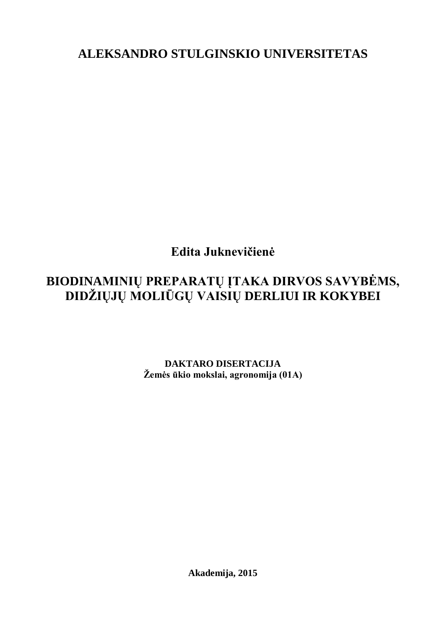**ALEKSANDRO STULGINSKIO UNIVERSITETAS**

**Edita Juknevičienė**

# **BIODINAMINIŲ PREPARATŲ ĮTAKA DIRVOS SAVYBĖMS, DIDŽIŲJŲ MOLIŪGŲ VAISIŲ DERLIUI IR KOKYBEI**

**DAKTARO DISERTACIJA Žemės ūkio mokslai, agronomija (01A)**

**Akademija, 2015**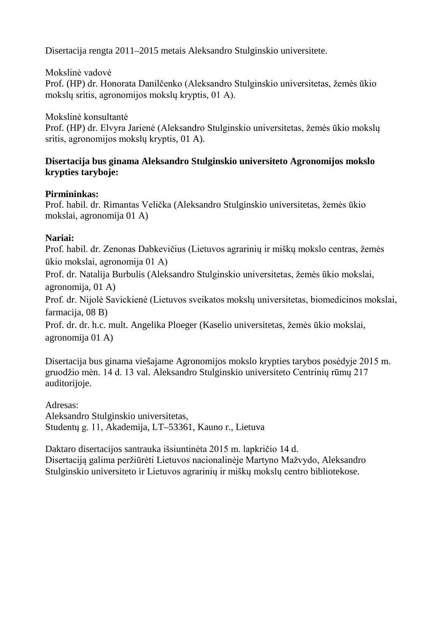Disertacija rengta 2011–2015 metais Aleksandro Stulginskio universitete.

Mokslinė vadovė Prof. (HP) dr. Honorata Danilčenko (Aleksandro Stulginskio universitetas, žemės ūkio mokslų sritis, agronomijos mokslų kryptis, 01 A).

Mokslinė konsultantė Prof. (HP) dr. Elvyra Jarienė (Aleksandro Stulginskio universitetas, žemės ūkio mokslų sritis, agronomijos mokslų kryptis, 01 A).

# **Disertacija bus ginama Aleksandro Stulginskio universiteto Agronomijos mokslo krypties taryboje:**

# **Pirmininkas:**

Prof. habil. dr. Rimantas Velička (Aleksandro Stulginskio universitetas, žemės ūkio mokslai, agronomija 01 A)

# **Nariai:**

Prof. habil. dr. Zenonas Dabkevičius (Lietuvos agrarinių ir miškų mokslo centras, žemės ūkio mokslai, agronomija 01 A)

Prof. dr. Natalija Burbulis (Aleksandro Stulginskio universitetas, žemės ūkio mokslai, agronomija, 01 A)

Prof. dr. Nijolė Savickienė (Lietuvos sveikatos mokslų universitetas, biomedicinos mokslai, farmacija, 08 B)

Prof. dr. dr. h.c. mult. Angelika Ploeger (Kaselio universitetas, žemės ūkio mokslai, agronomija 01 A)

Disertacija bus ginama viešajame Agronomijos mokslo krypties tarybos posėdyje 2015 m. gruodžio mėn. 14 d. 13 val. Aleksandro Stulginskio universiteto Centrinių rūmų 217 auditorijoje.

Adresas: Aleksandro Stulginskio universitetas, Studentų g. 11, Akademija, LT–53361, Kauno r., Lietuva

Daktaro disertacijos santrauka išsiuntinėta 2015 m. lapkričio 14 d. Disertaciją galima peržiūrėti Lietuvos nacionalinėje Martyno Mažvydo, Aleksandro Stulginskio universiteto ir Lietuvos agrarinių ir miškų mokslų centro bibliotekose.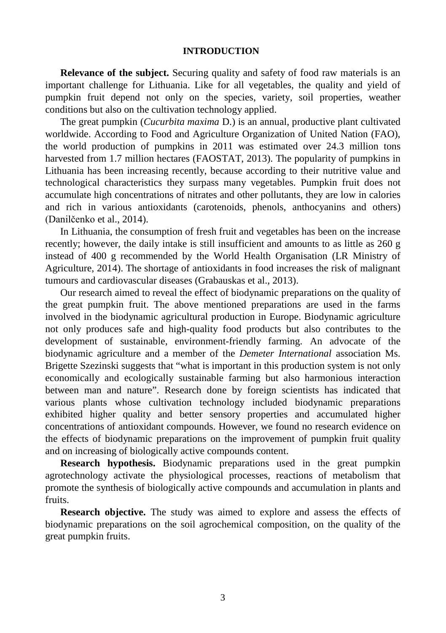#### **INTRODUCTION**

**Relevance of the subject.** Securing quality and safety of food raw materials is an important challenge for Lithuania. Like for all vegetables, the quality and yield of pumpkin fruit depend not only on the species, variety, soil properties, weather conditions but also on the cultivation technology applied.

The great pumpkin (*Cucurbita maxima* D.) is an annual, productive plant cultivated worldwide. According to Food and Agriculture Organization of United Nation (FAO), the world production of pumpkins in 2011 was estimated over 24.3 million tons harvested from 1.7 million hectares (FAOSTAT, 2013). The popularity of pumpkins in Lithuania has been increasing recently, because according to their nutritive value and technological characteristics they surpass many vegetables. Pumpkin fruit does not accumulate high concentrations of nitrates and other pollutants, they are low in calories and rich in various antioxidants (carotenoids, phenols, anthocyanins and others) (Danilčenko et al., 2014).

In Lithuania, the consumption of fresh fruit and vegetables has been on the increase recently; however, the daily intake is still insufficient and amounts to as little as 260 g instead of 400 g recommended by the World Health Organisation (LR Ministry of Agriculture, 2014). The shortage of antioxidants in food increases the risk of malignant tumours and cardiovascular diseases (Grabauskas et al., 2013).

Our research aimed to reveal the effect of biodynamic preparations on the quality of the great pumpkin fruit. The above mentioned preparations are used in the farms involved in the biodynamic agricultural production in Europe. Biodynamic agriculture not only produces safe and high-quality food products but also contributes to the development of sustainable, environment-friendly farming. An advocate of the biodynamic agriculture and a member of the *Demeter International* association Ms. Brigette Szezinski suggests that "what is important in this production system is not only economically and ecologically sustainable farming but also harmonious interaction between man and nature". Research done by foreign scientists has indicated that various plants whose cultivation technology included biodynamic preparations exhibited higher quality and better sensory properties and accumulated higher concentrations of antioxidant compounds. However, we found no research evidence on the effects of biodynamic preparations on the improvement of pumpkin fruit quality and on increasing of biologically active compounds content.

**Research hypothesis.** Biodynamic preparations used in the great pumpkin agrotechnology activate the physiological processes, reactions of metabolism that promote the synthesis of biologically active compounds and accumulation in plants and fruits.

**Research objective.** The study was aimed to explore and assess the effects of biodynamic preparations on the soil agrochemical composition, on the quality of the great pumpkin fruits.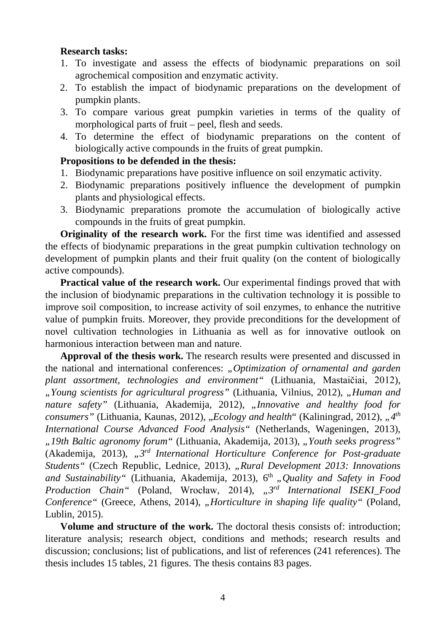## **Research tasks:**

- 1. To investigate and assess the effects of biodynamic preparations on soil agrochemical composition and enzymatic activity.
- 2. To establish the impact of biodynamic preparations on the development of pumpkin plants.
- 3. To compare various great pumpkin varieties in terms of the quality of morphological parts of fruit – peel, flesh and seeds.
- 4. To determine the effect of biodynamic preparations on the content of biologically active compounds in the fruits of great pumpkin.

## **Propositions to be defended in the thesis:**

- 1. Biodynamic preparations have positive influence on soil enzymatic activity.
- 2. Biodynamic preparations positively influence the development of pumpkin plants and physiological effects.
- 3. Biodynamic preparations promote the accumulation of biologically active compounds in the fruits of great pumpkin.

**Originality of the research work.** For the first time was identified and assessed the effects of biodynamic preparations in the great pumpkin cultivation technology on development of pumpkin plants and their fruit quality (on the content of biologically active compounds).

**Practical value of the research work.** Our experimental findings proved that with the inclusion of biodynamic preparations in the cultivation technology it is possible to improve soil composition, to increase activity of soil enzymes, to enhance the nutritive value of pumpkin fruits. Moreover, they provide preconditions for the development of novel cultivation technologies in Lithuania as well as for innovative outlook on harmonious interaction between man and nature.

**Approval of the thesis work.** The research results were presented and discussed in the national and international conferences: *"Optimization of ornamental and garden plant assortment, technologies and environment"* (Lithuania, Mastaičiai, 2012), *"Young scientists for agricultural progress"* (Lithuania, Vilnius, 2012), *"Human and nature safety"* (Lithuania, Akademija, 2012), *"Innovative and healthy food for consumers"* (Lithuania, Kaunas, 2012), *"Ecology and health*" (Kaliningrad, 2012), *"4<sup>th</sup> International Course Advanced Food Analysis"* (Netherlands, Wageningen, 2013), *"19th Baltic agronomy forum"* (Lithuania, Akademija, 2013), *"Youth seeks progress"* (Akademija, 2013), *"3rd International Horticulture Conference for Post-graduate Students"* (Czech Republic, Lednice, 2013), *"Rural Development 2013: Innovations*  and Sustainability" (Lithuania, Akademija, 2013), 6<sup>th</sup> "Quality and Safety in Food *Production Chain"* (Poland, Wrocław, 2014), *"3rd International ISEKI\_Food Conference*" (Greece, Athens, 2014), *"Horticulture in shaping life quality*" (Poland, Lublin, 2015).

**Volume and structure of the work.** The doctoral thesis consists of: introduction: literature analysis; research object, conditions and methods; research results and discussion; conclusions; list of publications, and list of references (241 references). The thesis includes 15 tables, 21 figures. The thesis contains 83 pages.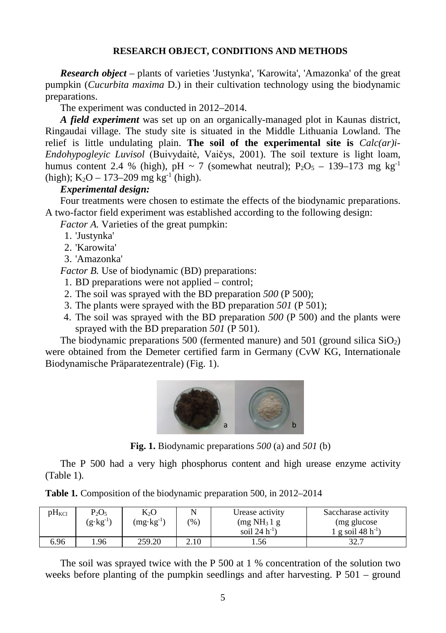## **RESEARCH OBJECT, CONDITIONS AND METHODS**

*Research object* – plants of varieties 'Justynka', 'Karowita', 'Amazonka' of the great pumpkin (*Cucurbita maxima* D.) in their cultivation technology using the biodynamic preparations.

The experiment was conducted in 2012–2014.

*A field experiment* was set up on an organically-managed plot in Kaunas district, Ringaudai village. The study site is situated in the Middle Lithuania Lowland. The relief is little undulating plain. **The soil of the experimental site is** *Calc(ar)i-Endohypogleyic Luvisol* (Buivydaitė, Vaičys, 2001). The soil texture is light loam, humus content 2.4 % (high), pH ~ 7 (somewhat neutral);  $P_2O_5 - 139-173$  mg kg<sup>-1</sup> (high);  $K_2O - 173-209$  mg kg<sup>-1</sup> (high).

## *Experimental design:*

Four treatments were chosen to estimate the effects of the biodynamic preparations. A two-factor field experiment was established according to the following design:

*Factor A.* Varieties of the great pumpkin:

- 1. 'Justynka'
- 2. 'Karowita'
- 3. 'Amazonka'

*Factor B.* Use of biodynamic (BD) preparations:

- 1. BD preparations were not applied control;
- 2. The soil was sprayed with the BD preparation *500* (P 500);
- 3. The plants were sprayed with the BD preparation *501* (P 501);
- 4. The soil was sprayed with the BD preparation *500* (P 500) and the plants were sprayed with the BD preparation *501* (P 501).

The biodynamic preparations 500 (fermented manure) and 501 (ground silica  $SiO<sub>2</sub>$ ) were obtained from the Demeter certified farm in Germany (CvW KG, Internationale Biodynamische Präparatezentrale) (Fig. 1).



**Fig. 1.** Biodynamic preparations *500* (a) and *501* (b)

The P 500 had a very high phosphorus content and high urease enzyme activity (Table 1).

|  | Table 1. Composition of the biodynamic preparation 500, in 2012-2014 |  |
|--|----------------------------------------------------------------------|--|
|  |                                                                      |  |

| $pH_{\text{KCl}}$ | $P_2O_5$<br>$(g \cdot kg^{-1})$ | Кo<br>$(mg \cdot kg^{-1})$ | (96) | Urease activity<br>(mg NH <sub>3</sub> 1 g)<br>soil $24 h^{-1}$ ) | Saccharase activity<br>(mg glucose)<br>1 g soil 48 h <sup>-1</sup> ) |
|-------------------|---------------------------------|----------------------------|------|-------------------------------------------------------------------|----------------------------------------------------------------------|
| 6.96              | .96                             | 259.20                     | 2.10 | . . 56                                                            | 32.7                                                                 |

The soil was sprayed twice with the P 500 at 1 % concentration of the solution two weeks before planting of the pumpkin seedlings and after harvesting. P 501 – ground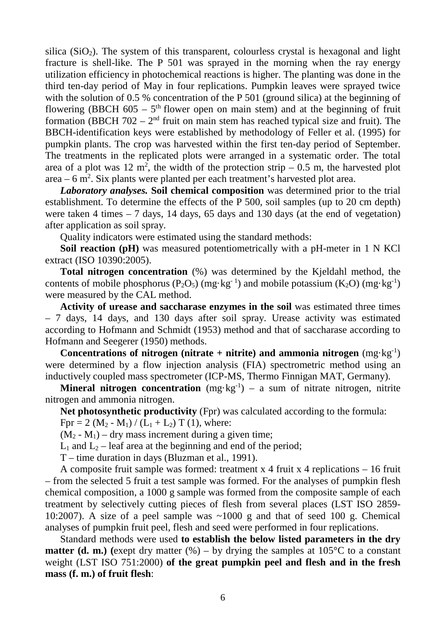silica  $(SiO<sub>2</sub>)$ . The system of this transparent, colourless crystal is hexagonal and light fracture is shell-like. The P 501 was sprayed in the morning when the ray energy utilization efficiency in photochemical reactions is higher. The planting was done in the third ten-day period of May in four replications. Pumpkin leaves were sprayed twice with the solution of 0.5 % concentration of the P 501 (ground silica) at the beginning of flowering (BBCH 605 –  $5<sup>th</sup>$  flower open on main stem) and at the beginning of fruit formation (BBCH 702 –  $2<sup>nd</sup>$  fruit on main stem has reached typical size and fruit). The BBCH-identification keys were established by methodology of Feller et al. (1995) for pumpkin plants. The crop was harvested within the first ten-day period of September. The treatments in the replicated plots were arranged in a systematic order. The total area of a plot was 12 m<sup>2</sup>, the width of the protection strip  $-0.5$  m, the harvested plot area  $-6$  m<sup>2</sup>. Six plants were planted per each treatment's harvested plot area.

*Laboratory analyses.* **Soil chemical composition** was determined prior to the trial establishment. To determine the effects of the P 500, soil samples (up to 20 cm depth) were taken 4 times – 7 days, 14 days, 65 days and 130 days (at the end of vegetation) after application as soil spray.

Quality indicators were estimated using the standard methods:

**Soil reaction (pH)** was measured potentiometrically with a pH-meter in 1 N KCl extract (ISO 10390:2005).

**Total nitrogen concentration** (%) was determined by the Kjeldahl method, the contents of mobile phosphorus ( $P_2O_5$ ) (mg·kg<sup>-1</sup>) and mobile potassium ( $K_2O$ ) (mg·kg<sup>-1</sup>) were measured by the CAL method.

**Activity of urease and saccharase enzymes in the soil** was estimated three times – 7 days, 14 days, and 130 days after soil spray. Urease activity was estimated according to Hofmann and Schmidt (1953) method and that of saccharase according to Hofmann and Seegerer (1950) methods.

Concentrations of nitrogen (nitrate + nitrite) and ammonia nitrogen (mg·kg<sup>-1</sup>) were determined by a flow injection analysis (FIA) spectrometric method using an inductively coupled mass spectrometer (ICP-MS, Thermo Finnigan MAT, Germany).

**Mineral nitrogen concentration**  $(mg \cdot kg^{-1}) - a$  sum of nitrate nitrogen, nitrite nitrogen and ammonia nitrogen.

**Net photosynthetic productivity** (Fpr) was calculated according to the formula: Fpr = 2 (M<sub>2</sub> - M<sub>1</sub>) / (L<sub>1</sub> + L<sub>2</sub>) T (1), where:

 $(M_2 - M_1)$  – dry mass increment during a given time;

 $L_1$  and  $L_2$  – leaf area at the beginning and end of the period;

T – time duration in days (Bluzman et al., 1991).

A composite fruit sample was formed: treatment x 4 fruit x 4 replications – 16 fruit – from the selected 5 fruit a test sample was formed. For the analyses of pumpkin flesh chemical composition, a 1000 g sample was formed from the composite sample of each treatment by selectively cutting pieces of flesh from several places (LST ISO 2859- 10:2007). A size of a peel sample was  $\sim$ 1000 g and that of seed 100 g. Chemical analyses of pumpkin fruit peel, flesh and seed were performed in four replications.

Standard methods were used **to establish the below listed parameters in the dry matter (d. m.)** (exept dry matter  $(\%)$  – by drying the samples at 105<sup>o</sup>C to a constant weight (LST ISO 751:2000) **of the great pumpkin peel and flesh and in the fresh mass (f. m.) of fruit flesh**: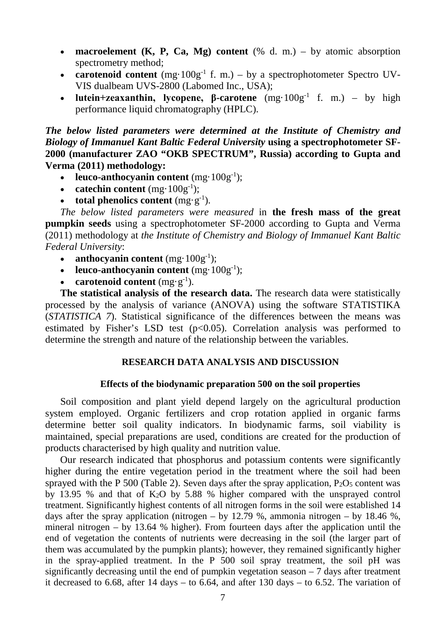- **macroelement (K, P, Ca, Mg) content** (% d. m.) by atomic absorption spectrometry method;
- **carotenoid content**  $(mg \cdot 100g^{-1} \text{ f. m.}) bv$  a spectrophotometer Spectro UV-VIS dualbeam UVS-2800 (Labomed Inc., USA);
- **lutein+zeaxanthin, lycopene, β-carotene** (mg·100g-1 f. m.) by high performance liquid chromatography (HPLC).

*The below listed parameters were determined at the Institute of Chemistry and Biology of Immanuel Kant Baltic Federal University* **using a spectrophotometer SF-2000 (manufacturer ZAO "OKB SPECTRUM", Russia) according to Gupta and Verma (2011) methodology:**

- **leuco-anthocyanin content** (mg·100g<sup>-1</sup>);
- **catechin content**  $(mg \cdot 100g^{-1});$
- **total phenolics content**  $(mg \cdot g^{-1})$ .

*The below listed parameters were measured* in **the fresh mass of the great pumpkin seeds** using a spectrophotometer SF-2000 according to Gupta and Verma (2011) methodology at *the Institute of Chemistry and Biology of Immanuel Kant Baltic Federal University*:

- **anthocyanin content** (mg·100g<sup>-1</sup>);
- **leuco-anthocyanin content**  $(mg \cdot 100g^{-1});$
- **carotenoid content**  $(mg \cdot g^{-1})$ .

**The statistical analysis of the research data.** The research data were statistically processed by the analysis of variance (ANOVA) using the software STATISTIKA (*STATISTICA 7*). Statistical significance of the differences between the means was estimated by Fisher's LSD test  $(p<0.05)$ . Correlation analysis was performed to determine the strength and nature of the relationship between the variables.

#### **RESEARCH DATA ANALYSIS AND DISCUSSION**

#### **Effects of the biodynamic preparation 500 on the soil properties**

Soil composition and plant yield depend largely on the agricultural production system employed. Organic fertilizers and crop rotation applied in organic farms determine better soil quality indicators. In biodynamic farms, soil viability is maintained, special preparations are used, conditions are created for the production of products characterised by high quality and nutrition value.

Our research indicated that phosphorus and potassium contents were significantly higher during the entire vegetation period in the treatment where the soil had been sprayed with the P 500 (Table 2). Seven days after the spray application,  $P_2O_5$  content was by 13.95 % and that of K2O by 5.88 % higher compared with the unsprayed control treatment. Significantly highest contents of all nitrogen forms in the soil were established 14 days after the spray application (nitrogen – by  $12.79$  %, ammonia nitrogen – by  $18.46$  %, mineral nitrogen – by 13.64 % higher). From fourteen days after the application until the end of vegetation the contents of nutrients were decreasing in the soil (the larger part of them was accumulated by the pumpkin plants); however, they remained significantly higher in the spray-applied treatment. In the P 500 soil spray treatment, the soil pH was significantly decreasing until the end of pumpkin vegetation season – 7 days after treatment it decreased to 6.68, after 14 days – to 6.64, and after 130 days – to 6.52. The variation of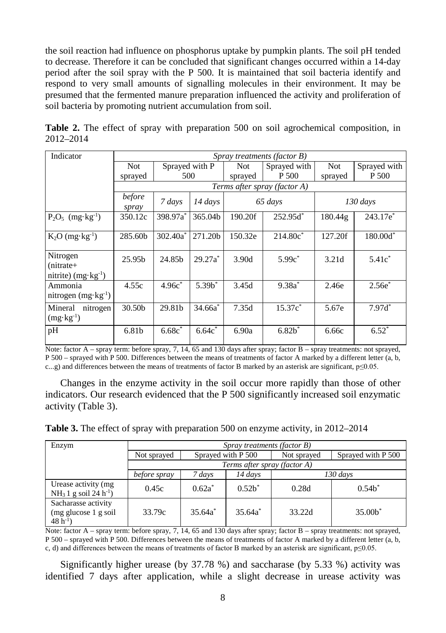the soil reaction had influence on phosphorus uptake by pumpkin plants. The soil pH tended to decrease. Therefore it can be concluded that significant changes occurred within a 14-day period after the soil spray with the P 500. It is maintained that soil bacteria identify and respond to very small amounts of signalling molecules in their environment. It may be presumed that the fermented manure preparation influenced the activity and proliferation of soil bacteria by promoting nutrient accumulation from soil.

|           |  |  |  |  | Table 2. The effect of spray with preparation 500 on soil agrochemical composition, in |  |
|-----------|--|--|--|--|----------------------------------------------------------------------------------------|--|
| 2012–2014 |  |  |  |  |                                                                                        |  |

| Indicator                                                | Spray treatments (factor B) |                      |            |         |                              |         |                      |
|----------------------------------------------------------|-----------------------------|----------------------|------------|---------|------------------------------|---------|----------------------|
|                                                          | <b>Not</b>                  | Sprayed with P       |            | Not.    | Sprayed with                 | Not     | Sprayed with         |
|                                                          | sprayed                     | 500                  |            | sprayed | P 500                        | sprayed | P 500                |
|                                                          |                             |                      |            |         | Terms after spray (factor A) |         |                      |
|                                                          | before<br>spray             | 7 days               | 14 days    |         | 65 days                      |         | $130$ days           |
| $P_2O_5$ (mg·kg <sup>-1</sup> )                          | 350.12c                     | 398.97a*             | 365.04b    | 190.20f | $252.95d^*$                  | 180.44g | 243.17e <sup>*</sup> |
| $K_2O$ (mg·kg <sup>-1</sup> )                            | 285.60b                     | $302.40a^*$          | 271.20b    | 150.32e | $214.80c^*$                  | 127.20f | $180.00d^*$          |
| Nitrogen<br>$(nitrate+$<br>nitrite) $(mg \cdot kg^{-1})$ | 25.95 <sub>b</sub>          | 24.85 <sub>h</sub>   | $29.27a^*$ | 3.90d   | $5.99c^*$                    | 3.21d   | $5.41c^*$            |
| Ammonia<br>nitrogen $(mg \cdot kg^{-1})$                 | 4.55c                       | $4.96c$ <sup>*</sup> | $5.39b^*$  | 3.45d   | $9.38a^*$                    | 2.46e   | $2.56e^*$            |
| Mineral<br>nitrogen<br>$(mg \cdot kg^{-1})$              | 30.50b                      | 29.81b               | 34.66a     | 7.35d   | $15.37c^*$                   | 5.67e   | $7.97d^*$            |
| pH                                                       | 6.81b                       | 6.68c                | 6.64c      | 6.90a   | $6.82*$                      | 6.66c   | $6.52^*$             |

Note: factor A – spray term: before spray, 7, 14, 65 and 130 days after spray; factor B – spray treatments: not sprayed, P 500 – sprayed with P 500. Differences between the means of treatments of factor A marked by a different letter (a, b, c...g) and differences between the means of treatments of factor B marked by an asterisk are significant,  $p \le 0.05$ .

Changes in the enzyme activity in the soil occur more rapidly than those of other indicators. Our research evidenced that the P 500 significantly increased soil enzymatic activity (Table 3).

**Table 3.** The effect of spray with preparation 500 on enzyme activity, in 2012–2014

| Enzym                                                         | Spray treatments (factor B) |                    |                     |             |                    |  |  |
|---------------------------------------------------------------|-----------------------------|--------------------|---------------------|-------------|--------------------|--|--|
|                                                               | Not sprayed                 | Sprayed with P 500 |                     | Not sprayed | Sprayed with P 500 |  |  |
|                                                               |                             |                    |                     |             |                    |  |  |
|                                                               | before spray                | 7 days             | 14 days<br>130 days |             |                    |  |  |
| Urease activity (mg<br>$NH_3 1$ g soil 24 h <sup>-1</sup> )   | 0.45c                       | $0.62a^*$          | $0.52h^*$           | 0.28d       | $0.54h^*$          |  |  |
| Sacharasse activity<br>$(mg)$ glucose 1 g soil<br>$48 h^{-1}$ | 33.79c                      | $35.64a^*$         | $35.64a^*$          | 33.22d      | 35.00 <sup>8</sup> |  |  |

Note: factor A – spray term: before spray, 7, 14, 65 and 130 days after spray; factor B – spray treatments: not sprayed, P 500 – sprayed with P 500. Differences between the means of treatments of factor A marked by a different letter (a, b, c, d) and differences between the means of treatments of factor B marked by an asterisk are significant, p≤0.05.

Significantly higher urease (by 37.78 %) and saccharase (by 5.33 %) activity was identified 7 days after application, while a slight decrease in urease activity was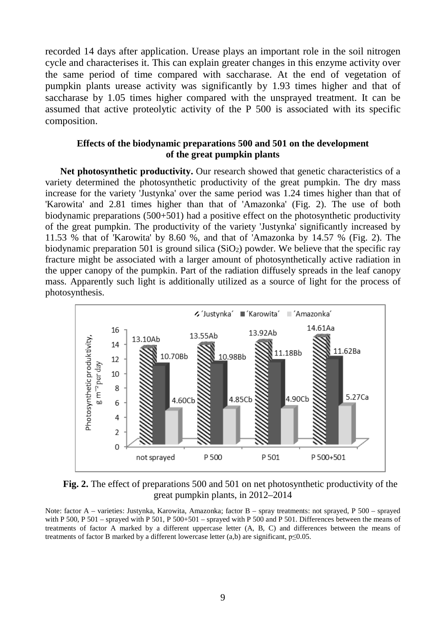recorded 14 days after application. Urease plays an important role in the soil nitrogen cycle and characterises it. This can explain greater changes in this enzyme activity over the same period of time compared with saccharase. At the end of vegetation of pumpkin plants urease activity was significantly by 1.93 times higher and that of saccharase by 1.05 times higher compared with the unsprayed treatment. It can be assumed that active proteolytic activity of the P 500 is associated with its specific composition.

## **Effects of the biodynamic preparations 500 and 501 on the development of the great pumpkin plants**

**Net photosynthetic productivity.** Our research showed that genetic characteristics of a variety determined the photosynthetic productivity of the great pumpkin. The dry mass increase for the variety 'Justynka' over the same period was 1.24 times higher than that of 'Karowita' and 2.81 times higher than that of 'Amazonka' (Fig. 2). The use of both biodynamic preparations (500+501) had a positive effect on the photosynthetic productivity of the great pumpkin. The productivity of the variety 'Justynka' significantly increased by 11.53 % that of 'Karowita' by 8.60 %, and that of 'Amazonka by 14.57 % (Fig. 2). The biodynamic preparation 501 is ground silica  $(SiO<sub>2</sub>)$  powder. We believe that the specific ray fracture might be associated with a larger amount of photosynthetically active radiation in the upper canopy of the pumpkin. Part of the radiation diffusely spreads in the leaf canopy mass. Apparently such light is additionally utilized as a source of light for the process of photosynthesis.



**Fig. 2.** The effect of preparations 500 and 501 on net photosynthetic productivity of the great pumpkin plants, in 2012–2014

Note: factor A – varieties: Justynka, Karowita, Amazonka; factor B – spray treatments: not sprayed, P 500 – sprayed with P 500, P 501 – sprayed with P 501, P 500+501 – sprayed with P 500 and P 501. Differences between the means of treatments of factor A marked by a different uppercase letter (A, B, C) and differences between the means of treatments of factor B marked by a different lowercase letter (a,b) are significant,  $p \le 0.05$ .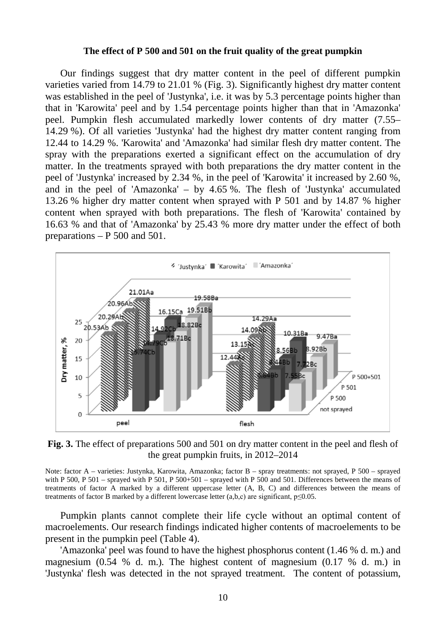#### **The effect of P 500 and 501 on the fruit quality of the great pumpkin**

Our findings suggest that dry matter content in the peel of different pumpkin varieties varied from 14.79 to 21.01 % (Fig. 3). Significantly highest dry matter content was established in the peel of 'Justynka', i.e. it was by 5.3 percentage points higher than that in 'Karowita' peel and by 1.54 percentage points higher than that in 'Amazonka' peel. Pumpkin flesh accumulated markedly lower contents of dry matter (7.55– 14.29 %). Of all varieties 'Justynka' had the highest dry matter content ranging from 12.44 to 14.29 %. 'Karowita' and 'Amazonka' had similar flesh dry matter content. The spray with the preparations exerted a significant effect on the accumulation of dry matter. In the treatments sprayed with both preparations the dry matter content in the peel of 'Justynka' increased by 2.34 %, in the peel of 'Karowita' it increased by 2.60 %, and in the peel of 'Amazonka' – by 4.65 %. The flesh of 'Justynka' accumulated 13.26 % higher dry matter content when sprayed with P 501 and by 14.87 % higher content when sprayed with both preparations. The flesh of 'Karowita' contained by 16.63 % and that of 'Amazonka' by 25.43 % more dry matter under the effect of both preparations – P 500 and 501.



**Fig. 3.** The effect of preparations 500 and 501 on dry matter content in the peel and flesh of the great pumpkin fruits, in 2012–2014

Note: factor A – varieties: Justynka, Karowita, Amazonka; factor B – spray treatments: not sprayed, P 500 – sprayed with P 500, P 501 – sprayed with P 501, P 500+501 – sprayed with P 500 and 501. Differences between the means of treatments of factor A marked by a different uppercase letter (A, B, C) and differences between the means of treatments of factor B marked by a different lowercase letter  $(a,b,c)$  are significant,  $p \le 0.05$ .

Pumpkin plants cannot complete their life cycle without an optimal content of macroelements. Our research findings indicated higher contents of macroelements to be present in the pumpkin peel (Table 4).

'Amazonka' peel was found to have the highest phosphorus content (1.46 % d. m.) and magnesium  $(0.54 \, % \, d, m)$ . The highest content of magnesium  $(0.17 \, % \, d, m)$  in 'Justynka' flesh was detected in the not sprayed treatment. The content of potassium,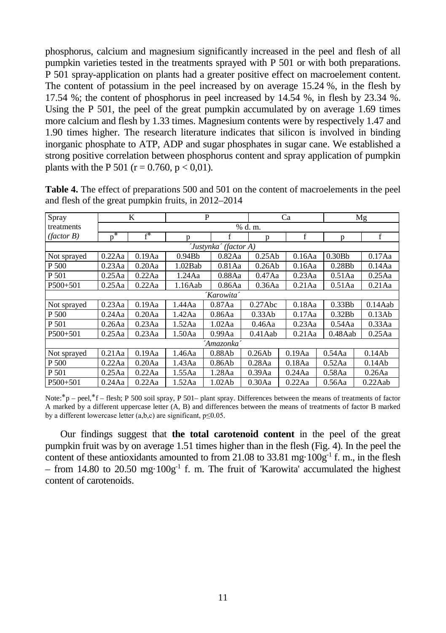phosphorus, calcium and magnesium significantly increased in the peel and flesh of all pumpkin varieties tested in the treatments sprayed with P 501 or with both preparations. P 501 spray-application on plants had a greater positive effect on macroelement content. The content of potassium in the peel increased by on average 15.24 %, in the flesh by 17.54 %; the content of phosphorus in peel increased by 14.54 %, in flesh by 23.34 %. Using the P 501, the peel of the great pumpkin accumulated by on average 1.69 times more calcium and flesh by 1.33 times. Magnesium contents were by respectively 1.47 and 1.90 times higher. The research literature indicates that silicon is involved in binding inorganic phosphate to ATP, ADP and sugar phosphates in sugar cane. We established a strong positive correlation between phosphorus content and spray application of pumpkin plants with the P 501 ( $r = 0.760$ ,  $p < 0.01$ ).

| Spray                 |            | K         |                    | P         |                  | Ca        |                        | Mg         |  |  |
|-----------------------|------------|-----------|--------------------|-----------|------------------|-----------|------------------------|------------|--|--|
| treatments            |            |           | % d. m.            |           |                  |           |                        |            |  |  |
| (factor B)            | ∗<br>D     | $f^*$     | p                  | f         | p                | f         | D                      | f          |  |  |
| 'Justynka' (factor A) |            |           |                    |           |                  |           |                        |            |  |  |
| Not sprayed           | 0.22Aa     | 0.19Aa    | 0.94B <sub>b</sub> | 0.82Aa    | 0.25Ab           | 0.16Aa    | 0.30B <sub>b</sub>     | 0.17Aa     |  |  |
| P 500                 | 0.23Aa     | $0.20$ Aa | 1.02Bab            | $0.81$ Aa | 0.26Ab           | 0.16Aa    | 0.28B <sub>b</sub>     | 0.14Aa     |  |  |
| P 501                 | $0.25$ Aa  | 0.22Aa    | 1.24Aa<br>0.88Aa   |           | 0.47Aa           | 0.23Aa    | $0.51$ Aa              | $0.25$ Aa  |  |  |
| P500+501              | $0.25$ Aa  | 0.22Aa    | 1.16Aab            |           | 0.86Aa<br>0.36Aa |           | $0.21$ Aa<br>$0.51$ Aa | $0.21$ Aa  |  |  |
|                       | 'Karowita' |           |                    |           |                  |           |                        |            |  |  |
| Not sprayed           | 0.23Aa     | 0.19Aa    | 1.44 Aa            | 0.87Aa    | $0.27$ Abc       | 0.18Aa    | 0.33Bb                 | 0.14Aab    |  |  |
| P 500                 | 0.24Aa     | $0.20$ Aa | 1.42Aa             | 0.86Aa    | 0.33Ab           | 0.17Aa    | 0.32Bb                 | 0.13Ab     |  |  |
| P 501                 | $0.26$ Aa  | 0.23Aa    | 1.52Aa             | 1.02Aa    | 0.46Aa           | 0.23Aa    | 0.54Aa                 | 0.33Aa     |  |  |
| $P500+501$            | $0.25$ Aa  | 0.23Aa    | 1.50Aa             | 0.99Aa    | $0.41$ Aab       | $0.21$ Aa | $0.48$ Aab             | $0.25$ Aa  |  |  |
| 'Amazonka '           |            |           |                    |           |                  |           |                        |            |  |  |
| Not sprayed           | $0.21$ Aa  | 0.19Aa    | 1.46Aa             | 0.88Ab    | 0.26Ab           | 0.19Aa    | 0.54Aa                 | 0.14Ab     |  |  |
| P 500                 | 0.22Aa     | $0.20$ Aa | 1.43Aa             | 0.86Ab    | 0.28Aa           | 0.18Aa    | 0.52Aa                 | 0.14Ab     |  |  |
| P 501                 | $0.25$ Aa  | 0.22Aa    | 1.55Aa             | 1.28Aa    | $0.39$ Aa        | 0.24Aa    | 0.58Aa                 | 0.26Aa     |  |  |
| $P500+501$            | 0.24Aa     | 0.22Aa    | 1.52Aa             | 1.02Ab    | 0.30Aa           | 0.22Aa    | 0.56Aa                 | $0.22$ Aab |  |  |

**Table 4.** The effect of preparations 500 and 501 on the content of macroelements in the peel and flesh of the great pumpkin fruits, in 2012–2014

Note: $*p - peel$ ,  $*f - flesh$ ; P 500 soil spray, P 501– plant spray. Differences between the means of treatments of factor A marked by a different uppercase letter (A, B) and differences between the means of treatments of factor B marked by a different lowercase letter  $(a,b,c)$  are significant,  $p \le 0.05$ .

Our findings suggest that **the total carotenoid content** in the peel of the great pumpkin fruit was by on average 1.51 times higher than in the flesh (Fig. 4). In the peel the content of these antioxidants amounted to from 21.08 to 33.81 mg·100g<sup>-1</sup> f. m., in the flesh – from 14.80 to 20.50 mg·100g<sup>-1</sup> f. m. The fruit of 'Karowita' accumulated the highest content of carotenoids.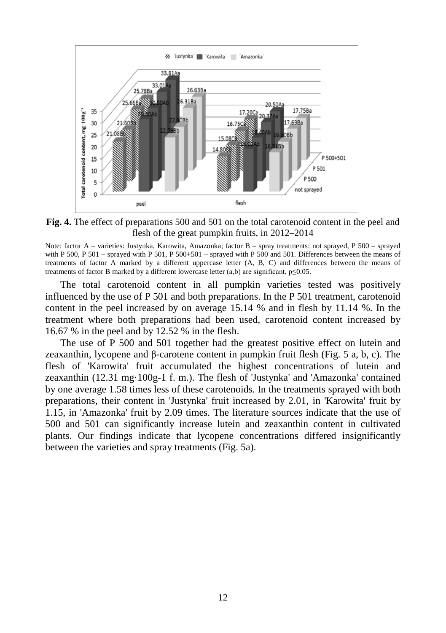

**Fig. 4.** The effect of preparations 500 and 501 on the total carotenoid content in the peel and flesh of the great pumpkin fruits, in 2012–2014

Note: factor A – varieties: Justynka, Karowita, Amazonka; factor B – spray treatments: not sprayed, P 500 – sprayed with P 500, P 501 – sprayed with P 501, P 500+501 – sprayed with P 500 and 501. Differences between the means of treatments of factor A marked by a different uppercase letter (A, B, C) and differences between the means of treatments of factor B marked by a different lowercase letter (a,b) are significant, p≤0.05.

The total carotenoid content in all pumpkin varieties tested was positively influenced by the use of P 501 and both preparations. In the P 501 treatment, carotenoid content in the peel increased by on average 15.14 % and in flesh by 11.14 %. In the treatment where both preparations had been used, carotenoid content increased by 16.67 % in the peel and by 12.52 % in the flesh.

The use of P 500 and 501 together had the greatest positive effect on lutein and zeaxanthin, lycopene and β-carotene content in pumpkin fruit flesh (Fig. 5 a, b, c). The flesh of 'Karowita' fruit accumulated the highest concentrations of lutein and zeaxanthin (12.31 mg·100g-1 f. m.). The flesh of 'Justynka' and 'Amazonka' contained by one average 1.58 times less of these carotenoids. In the treatments sprayed with both preparations, their content in 'Justynka' fruit increased by 2.01, in 'Karowita' fruit by 1.15, in 'Amazonka' fruit by 2.09 times. The literature sources indicate that the use of 500 and 501 can significantly increase lutein and zeaxanthin content in cultivated plants. Our findings indicate that lycopene concentrations differed insignificantly between the varieties and spray treatments (Fig. 5a).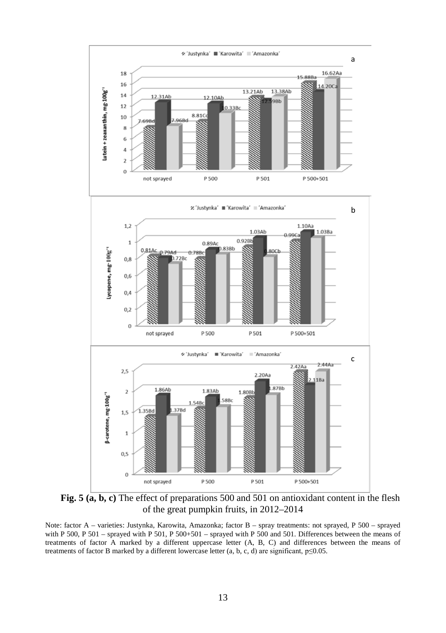

**Fig. 5 (a, b, c)** The effect of preparations 500 and 501 on antioxidant content in the flesh of the great pumpkin fruits, in 2012–2014

Note: factor A – varieties: Justynka, Karowita, Amazonka; factor B – spray treatments: not sprayed, P 500 – sprayed with P 500, P 501 – sprayed with P 501, P 500+501 – sprayed with P 500 and 501. Differences between the means of treatments of factor A marked by a different uppercase letter (A, B, C) and differences between the means of treatments of factor B marked by a different lowercase letter (a, b, c, d) are significant,  $p \le 0.05$ .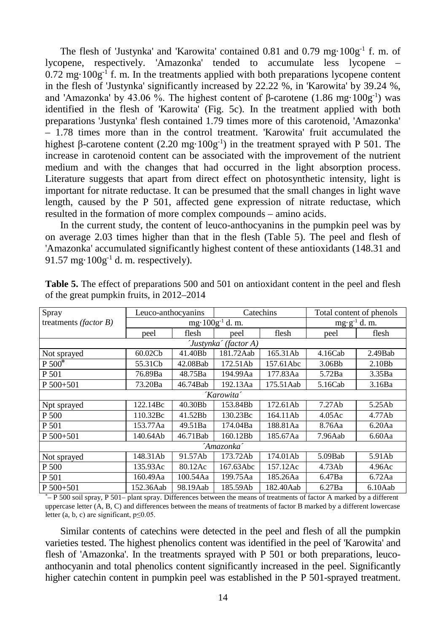The flesh of 'Justynka' and 'Karowita' contained 0.81 and 0.79 mg·100g<sup>-1</sup> f. m. of lycopene, respectively. 'Amazonka' tended to accumulate less lycopene –  $0.72$  mg·100g<sup>-1</sup> f. m. In the treatments applied with both preparations lycopene content in the flesh of 'Justynka' significantly increased by  $22.22\%$ , in 'Karowita' by 39.24 %, and 'Amazonka' by 43.06 %. The highest content of β-carotene  $(1.86 \text{ mg} \cdot 100 \text{g}^{-1})$  was identified in the flesh of 'Karowita' (Fig. 5c). In the treatment applied with both preparations 'Justynka' flesh contained 1.79 times more of this carotenoid, 'Amazonka' – 1.78 times more than in the control treatment. 'Karowita' fruit accumulated the highest β-carotene content  $(2.20 \text{ mg} \cdot 100 \text{g}^{-1})$  in the treatment sprayed with P 501. The increase in carotenoid content can be associated with the improvement of the nutrient medium and with the changes that had occurred in the light absorption process. Literature suggests that apart from direct effect on photosynthetic intensity, light is important for nitrate reductase. It can be presumed that the small changes in light wave length, caused by the P 501, affected gene expression of nitrate reductase, which resulted in the formation of more complex compounds – amino acids.

In the current study, the content of leuco-anthocyanins in the pumpkin peel was by on average 2.03 times higher than that in the flesh (Table 5). The peel and flesh of 'Amazonka' accumulated significantly highest content of these antioxidants (148.31 and 91.57 mg $\cdot$ 100g $^{-1}$  d. m. respectively).

| Spray                          | Leuco-anthocyanins    |                              |           | Catechins     | Total content of phenols |                    |  |  |  |  |
|--------------------------------|-----------------------|------------------------------|-----------|---------------|--------------------------|--------------------|--|--|--|--|
| treatments ( <i>factor B</i> ) |                       | mg $\cdot$ 100g $^{-1}$ d.m. |           | $mg·g-1$ d.m. |                          |                    |  |  |  |  |
|                                | peel                  | flesh                        | peel      | flesh         | peel                     | flesh              |  |  |  |  |
|                                | 'Justynka' (factor A) |                              |           |               |                          |                    |  |  |  |  |
| Not sprayed                    | 60.02Cb               | 41.40Bb                      | 181.72Aab | 165.31Ab      | 4.16Cab                  | $2.49$ Bab         |  |  |  |  |
| $P 500*$                       | 55.31Cb               | 42.08Bab                     | 172.51Ab  | 157.61Abc     | 3.06B <sub>b</sub>       | 2.10B <sub>b</sub> |  |  |  |  |
| P 501                          | 76.89Ba               | 48.75Ba                      | 194.99Aa  | 177.83Aa      | 5.72Ba                   | 3.35Ba             |  |  |  |  |
| P 500+501                      | 73.20Ba               | 46.74Bab                     | 192.13Aa  | 175.51Aab     | 5.16Cab                  | 3.16Ba             |  |  |  |  |
|                                | 'Karowita'            |                              |           |               |                          |                    |  |  |  |  |
| Npt sprayed                    | 122.14Bc              | 40.30Bb                      | 153.84Bb  | 172.61Ab      | 7.27Ab                   | 5.25Ab             |  |  |  |  |
| P 500                          | 110.32Bc              | 41.52Bb                      | 130.23Bc  | 164.11Ab      | 4.05Ac                   | 4.77Ab             |  |  |  |  |
| P 501                          | 153.77Aa              | 49.51Ba                      | 174.04Ba  | 188.81Aa      | 8.76Aa                   | 6.20Aa             |  |  |  |  |
| P 500+501                      | 140.64Ab              | 46.71Bab                     | 160.12Bb  | 185.67Aa      | 7.96Aab                  | 6.60Aa             |  |  |  |  |
| 'Amazonka'                     |                       |                              |           |               |                          |                    |  |  |  |  |
| Not sprayed                    | 148.31Ab              | 91.57Ab                      | 173.72Ab  | 174.01Ab      | $5.09$ Bab               | 5.91Ab             |  |  |  |  |
| P 500                          | 135.93Ac              | 80.12Ac                      | 167.63Abc | 157.12Ac      | 4.73Ab                   | 4.96Ac             |  |  |  |  |
| P 501                          | 160.49Aa              | 100.54Aa                     | 199.75Aa  | 185.26Aa      | 6.47Ba                   | 6.72Aa             |  |  |  |  |
| $P 500 + 501$                  | 152.36Aab             | 98.19Aab                     | 185.59Ab  | 182.40Aab     | 6.27Ba                   | $6.10$ Aab         |  |  |  |  |

**Table 5.** The effect of preparations 500 and 501 on antioxidant content in the peel and flesh of the great pumpkin fruits, in 2012–2014

\* – P 500 soil spray, P 501– plant spray. Differences between the means of treatments of factor A marked by a different uppercase letter (A, B, C) and differences between the means of treatments of factor B marked by a different lowercase letter (a, b, c) are significant,  $p \le 0.05$ .

Similar contents of catechins were detected in the peel and flesh of all the pumpkin varieties tested. The highest phenolics content was identified in the peel of 'Karowita' and flesh of 'Amazonka'. In the treatments sprayed with P 501 or both preparations, leucoanthocyanin and total phenolics content significantly increased in the peel. Significantly higher catechin content in pumpkin peel was established in the P 501-sprayed treatment.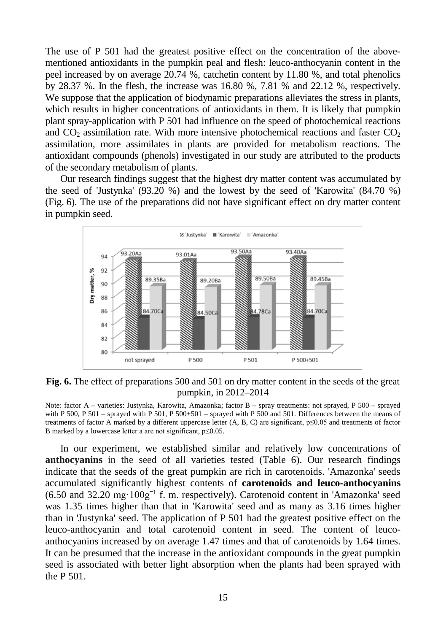The use of P 501 had the greatest positive effect on the concentration of the abovementioned antioxidants in the pumpkin peal and flesh: leuco-anthocyanin content in the peel increased by on average 20.74 %, catchetin content by 11.80 %, and total phenolics by 28.37 %. In the flesh, the increase was 16.80 %, 7.81 % and 22.12 %, respectively. We suppose that the application of biodynamic preparations alleviates the stress in plants, which results in higher concentrations of antioxidants in them. It is likely that pumpkin plant spray-application with P 501 had influence on the speed of photochemical reactions and  $CO<sub>2</sub>$  assimilation rate. With more intensive photochemical reactions and faster  $CO<sub>2</sub>$ assimilation, more assimilates in plants are provided for metabolism reactions. The antioxidant compounds (phenols) investigated in our study are attributed to the products of the secondary metabolism of plants.

Our research findings suggest that the highest dry matter content was accumulated by the seed of 'Justynka' (93.20 %) and the lowest by the seed of 'Karowita' (84.70 %) (Fig. 6). The use of the preparations did not have significant effect on dry matter content in pumpkin seed.



**Fig. 6.** The effect of preparations 500 and 501 on dry matter content in the seeds of the great pumpkin, in 2012–2014

Note: factor A – varieties: Justynka, Karowita, Amazonka; factor B – spray treatments: not sprayed, P 500 – sprayed with P 500, P 501 – sprayed with P 501, P 500+501 – sprayed with P 500 and 501. Differences between the means of treatments of factor A marked by a different uppercase letter (A, B, C) are significant, p≤0.05 and treatments of factor B marked by a lowercase letter a are not significant, p≤0.05.

In our experiment, we established similar and relatively low concentrations of **anthocyanins** in the seed of all varieties tested (Table 6). Our research findings indicate that the seeds of the great pumpkin are rich in carotenoids. 'Amazonka' seeds accumulated significantly highest contents of **carotenoids and leuco-anthocyanins**  (6.50 and 32.20 mg·100gˉ<sup>1</sup> f. m. respectively). Carotenoid content in 'Amazonka' seed was 1.35 times higher than that in 'Karowita' seed and as many as 3.16 times higher than in 'Justynka' seed. The application of P 501 had the greatest positive effect on the leuco-anthocyanin and total carotenoid content in seed. The content of leucoanthocyanins increased by on average 1.47 times and that of carotenoids by 1.64 times. It can be presumed that the increase in the antioxidant compounds in the great pumpkin seed is associated with better light absorption when the plants had been sprayed with the P 501.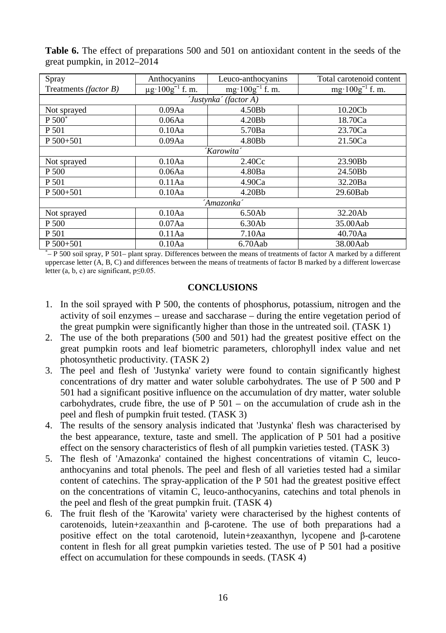| Spray                 | Anthocyanins                     | Leuco-anthocyanins         | Total carotenoid content   |  |  |  |  |  |  |
|-----------------------|----------------------------------|----------------------------|----------------------------|--|--|--|--|--|--|
| Treatments (factor B) | $\mu$ g·100g <sup>-1</sup> f. m. | $mg \cdot 100g^{-1}$ f. m. | $mg \cdot 100g^{-1}$ f. m. |  |  |  |  |  |  |
| 'Justynka' (factor A) |                                  |                            |                            |  |  |  |  |  |  |
| Not sprayed           | $0.09$ Aa                        | 4.50Bb                     | 10.20Cb                    |  |  |  |  |  |  |
| P 500 <sup>*</sup>    | 0.06Aa                           | 4.20B <sub>b</sub>         | 18.70Ca                    |  |  |  |  |  |  |
| P 501                 | 0.10Aa                           | 5.70Ba                     | 23.70Ca                    |  |  |  |  |  |  |
| $P 500 + 501$         | $0.09$ Aa                        | 4.80Bb                     | 21.50Ca                    |  |  |  |  |  |  |
| 'Karowita'            |                                  |                            |                            |  |  |  |  |  |  |
| Not sprayed           | 0.10Aa                           | 2.40 <sub>C</sub>          | 23.90Bb                    |  |  |  |  |  |  |
| P 500                 | 0.06Aa                           | 4.80Ba                     | 24.50Bb                    |  |  |  |  |  |  |
| P 501                 | 0.11Aa                           | 4.90Ca                     | 32.20Ba                    |  |  |  |  |  |  |
| $P 500 + 501$         | 0.10Aa                           | 4.20B <sub>b</sub>         | 29.60Bab                   |  |  |  |  |  |  |
|                       |                                  | 'Amazonka'                 |                            |  |  |  |  |  |  |
| Not sprayed           | 0.10Aa                           | 6.50Ab                     | 32.20Ab                    |  |  |  |  |  |  |
| P 500                 | $0.07$ Aa                        | 6.30Ab                     | 35.00Aab                   |  |  |  |  |  |  |
| P 501                 | 0.11Aa                           | 7.10Aa                     | 40.70Aa                    |  |  |  |  |  |  |
| P 500+501             | 0.10Aa                           | $6.70$ Aab                 | 38.00Aab                   |  |  |  |  |  |  |

**Table 6.** The effect of preparations 500 and 501 on antioxidant content in the seeds of the great pumpkin, in 2012–2014

\* – P 500 soil spray, P 501– plant spray. Differences between the means of treatments of factor A marked by a different uppercase letter (A, B, C) and differences between the means of treatments of factor B marked by a different lowercase letter (a, b, c) are significant,  $p \le 0.05$ .

## **CONCLUSIONS**

- 1. In the soil sprayed with P 500, the contents of phosphorus, potassium, nitrogen and the activity of soil enzymes – urease and saccharase – during the entire vegetation period of the great pumpkin were significantly higher than those in the untreated soil. (TASK 1)
- 2. The use of the both preparations (500 and 501) had the greatest positive effect on the great pumpkin roots and leaf biometric parameters, chlorophyll index value and net photosynthetic productivity. (TASK 2)
- 3. The peel and flesh of 'Justynka' variety were found to contain significantly highest concentrations of dry matter and water soluble carbohydrates. The use of P 500 and P 501 had a significant positive influence on the accumulation of dry matter, water soluble carbohydrates, crude fibre, the use of  $P 501 - on$  the accumulation of crude ash in the peel and flesh of pumpkin fruit tested. (TASK 3)
- 4. The results of the sensory analysis indicated that 'Justynka' flesh was characterised by the best appearance, texture, taste and smell. The application of P 501 had a positive effect on the sensory characteristics of flesh of all pumpkin varieties tested. (TASK 3)
- 5. The flesh of 'Amazonka' contained the highest concentrations of vitamin C, leucoanthocyanins and total phenols. The peel and flesh of all varieties tested had a similar content of catechins. The spray-application of the P 501 had the greatest positive effect on the concentrations of vitamin C, leuco-anthocyanins, catechins and total phenols in the peel and flesh of the great pumpkin fruit. (TASK 4)
- 6. The fruit flesh of the 'Karowita' variety were characterised by the highest contents of carotenoids, lutein+zeaxanthin and β-carotene. The use of both preparations had a positive effect on the total carotenoid, lutein+zeaxanthyn, lycopene and β-carotene content in flesh for all great pumpkin varieties tested. The use of P 501 had a positive effect on accumulation for these compounds in seeds. (TASK 4)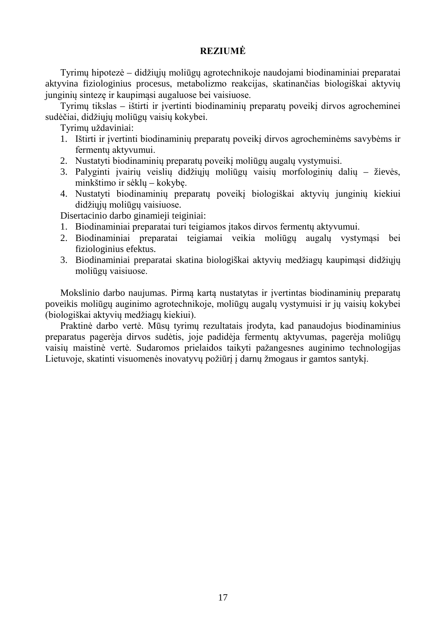# **REZIUMĖ**

Tyrimų hipotezė – didžiųjų moliūgų agrotechnikoje naudojami biodinaminiai preparatai aktyvina fiziologinius procesus, metabolizmo reakcijas, skatinančias biologiškai aktyvių junginių sintezę ir kaupimąsi augaluose bei vaisiuose.

Tyrimų tikslas – ištirti ir įvertinti biodinaminių preparatų poveikį dirvos agrocheminei sudėčiai, didžiųjų moliūgų vaisių kokybei.

Tyrimų uždaviniai:

- 1. Ištirti ir įvertinti biodinaminių preparatų poveikį dirvos agrocheminėms savybėms ir fermentų aktyvumui.
- 2. Nustatyti biodinaminių preparatų poveikį moliūgų augalų vystymuisi.
- 3. Palyginti įvairių veislių didžiųjų moliūgų vaisių morfologinių dalių žievės, minkštimo ir sėklų – kokybę.
- 4. Nustatyti biodinaminių preparatų poveikį biologiškai aktyvių junginių kiekiui didžiųjų moliūgų vaisiuose.

Disertacinio darbo ginamieji teiginiai:

- 1. Biodinaminiai preparatai turi teigiamos įtakos dirvos fermentų aktyvumui.
- 2. Biodinaminiai preparatai teigiamai veikia moliūgų augalų vystymąsi bei fiziologinius efektus.
- 3. Biodinaminiai preparatai skatina biologiškai aktyvių medžiagų kaupimąsi didžiųjų moliūgų vaisiuose.

Mokslinio darbo naujumas. Pirmą kartą nustatytas ir įvertintas biodinaminių preparatų poveikis moliūgų auginimo agrotechnikoje, moliūgų augalų vystymuisi ir jų vaisių kokybei (biologiškai aktyvių medžiagų kiekiui).

Praktinė darbo vertė. Mūsų tyrimų rezultatais įrodyta, kad panaudojus biodinaminius preparatus pagerėja dirvos sudėtis, joje padidėja fermentų aktyvumas, pagerėja moliūgų vaisių maistinė vertė. Sudaromos prielaidos taikyti pažangesnes auginimo technologijas Lietuvoje, skatinti visuomenės inovatyvų požiūrį į darnų žmogaus ir gamtos santykį.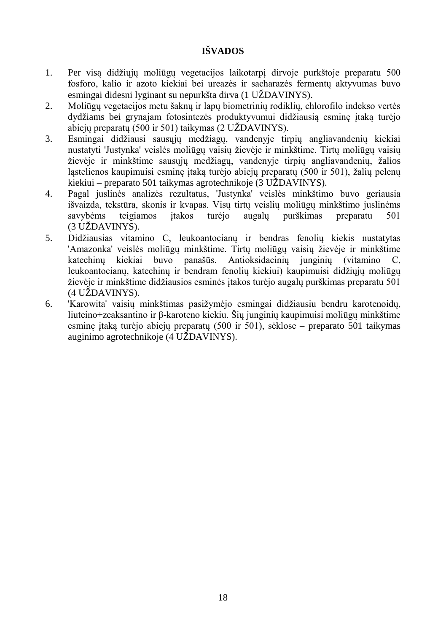# **IŠVADOS**

- 1. Per visą didžiųjų moliūgų vegetacijos laikotarpį dirvoje purkštoje preparatu 500 fosforo, kalio ir azoto kiekiai bei ureazės ir sacharazės fermentų aktyvumas buvo esmingai didesni lyginant su nepurkšta dirva (1 UŽDAVINYS).
- 2. Moliūgų vegetacijos metu šaknų ir lapų biometrinių rodiklių, chlorofilo indekso vertės dydžiams bei grynajam fotosintezės produktyvumui didžiausią esminę įtaką turėjo abiejų preparatų (500 ir 501) taikymas (2 UŽDAVINYS).
- 3. Esmingai didžiausi sausųjų medžiagų, vandenyje tirpių angliavandenių kiekiai nustatyti 'Justynka' veislės moliūgų vaisių žievėje ir minkštime. Tirtų moliūgų vaisių žievėje ir minkštime sausųjų medžiagų, vandenyje tirpių angliavandenių, žalios ląstelienos kaupimuisi esminę įtaką turėjo abiejų preparatų (500 ir 501), žalių pelenų kiekiui – preparato 501 taikymas agrotechnikoje (3 UŽDAVINYS).
- 4. Pagal juslinės analizės rezultatus, 'Justynka' veislės minkštimo buvo geriausia išvaizda, tekstūra, skonis ir kvapas. Visų tirtų veislių moliūgų minkštimo juslinėms savybėms teigiamos įtakos turėjo augalų purškimas preparatu 501 (3 UŽDAVINYS).
- 5. Didžiausias vitamino C, leukoantocianų ir bendras fenolių kiekis nustatytas 'Amazonka' veislės moliūgų minkštime. Tirtų moliūgų vaisių žievėje ir minkštime katechinų kiekiai buvo panašūs. Antioksidacinių junginių (vitamino C, leukoantocianų, katechinų ir bendram fenolių kiekiui) kaupimuisi didžiųjų moliūgų žievėje ir minkštime didžiausios esminės įtakos turėjo augalų purškimas preparatu 501 (4 UŽDAVINYS).
- 6. 'Karowita' vaisių minkštimas pasižymėjo esmingai didžiausiu bendru karotenoidų, liuteino+zeaksantino ir β-karoteno kiekiu. Šių junginių kaupimuisi moliūgų minkštime esminę įtaką turėjo abiejų preparatų (500 ir 501), sėklose – preparato 501 taikymas auginimo agrotechnikoje (4 UŽDAVINYS).